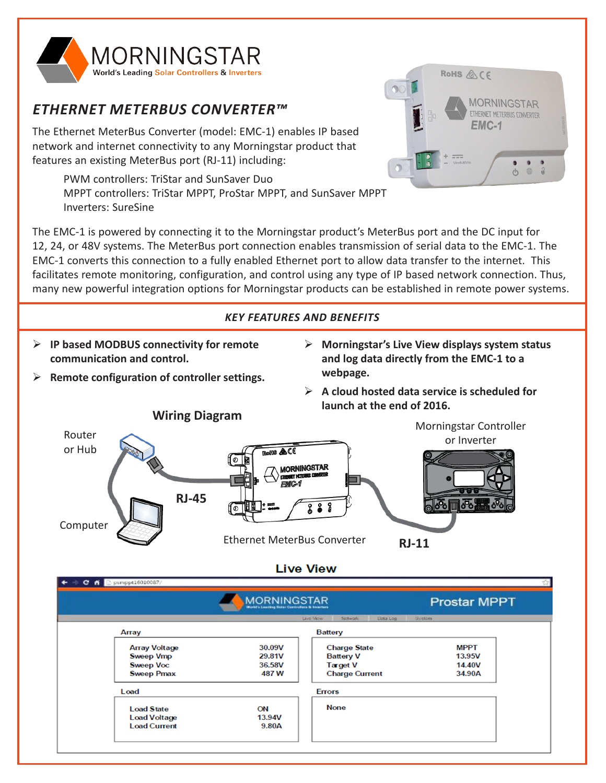

# *ETHERNET METERBUS CONVERTER™*

The Ethernet MeterBus Converter (model: EMC-1) enables IP based network and internet connectivity to any Morningstar product that features an existing MeterBus port (RJ-11) including:

PWM controllers: TriStar and SunSaver Duo MPPT controllers: TriStar MPPT, ProStar MPPT, and SunSaver MPPT Inverters: SureSine



# *KEY FEATURES AND BENEFITS*

- ¾ **IP based MODBUS connectivity for remote communication and control.**
- ¾ **Remote configuration of controller settings.**
- ¾ **Morningstar's Live View displays system status and log data directly from the EMC-1 to a webpage.**

RoHS **&** CF

**MORNINGSTAR** ETHERNET METERBUS CONVERTER

> $\mathcal{L}$ ⊕

EMC-1

¾ **A cloud hosted data service is scheduled for launch at the end of 2016.**



|                      | <b>NINGSTAR</b><br><b>World's Leading Solar Controllers &amp; Invertors</b> |                                    | <b>Prostar MPPT</b> |  |
|----------------------|-----------------------------------------------------------------------------|------------------------------------|---------------------|--|
|                      |                                                                             | Live-View<br>Nictwork-<br>Data Log | System              |  |
| Array                |                                                                             | <b>Battery</b>                     |                     |  |
| <b>Array Voltage</b> | 30.09V                                                                      | <b>Charge State</b>                | <b>MPPT</b>         |  |
| <b>Sweep Vmp</b>     | 29.81V                                                                      | <b>Battery V</b>                   | 13.95V              |  |
| <b>Sweep Voc</b>     | 36.58V                                                                      | <b>Target V</b>                    | 14.40V              |  |
| <b>Sweep Pmax</b>    | 487 W                                                                       | <b>Charge Current</b>              | 34.90A              |  |
| Load                 |                                                                             | <b>Errors</b>                      |                     |  |
| <b>Load State</b>    | ON                                                                          | <b>None</b>                        |                     |  |
| <b>Load Voltage</b>  | 13.94V                                                                      |                                    |                     |  |
| <b>Load Current</b>  | 9.80A                                                                       |                                    |                     |  |